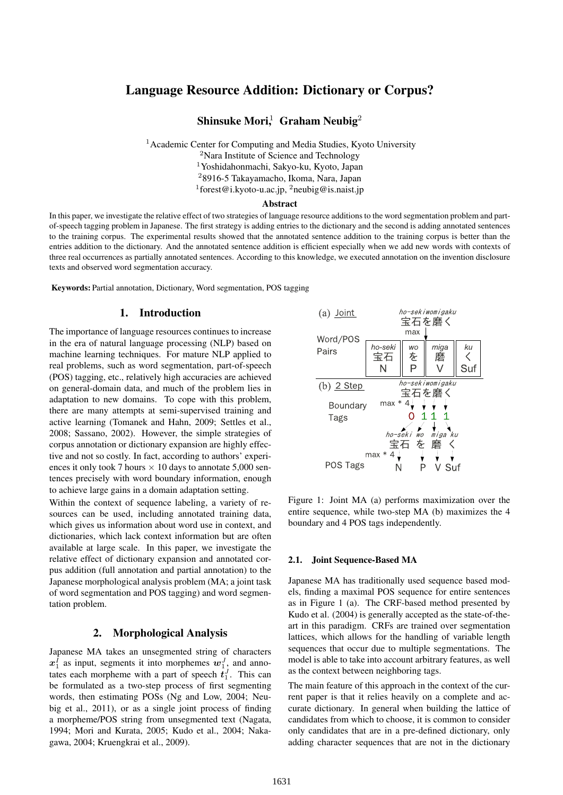# Language Resource Addition: Dictionary or Corpus?

## Shinsuke Mori,  $1$  Graham Neubig<sup>2</sup>

<sup>1</sup> Academic Center for Computing and Media Studies, Kyoto University

<sup>2</sup>Nara Institute of Science and Technology

<sup>1</sup>Yoshidahonmachi, Sakyo-ku, Kyoto, Japan

<sup>2</sup>8916-5 Takayamacho, Ikoma, Nara, Japan

1 forest@i.kyoto-u.ac.jp, <sup>2</sup>neubig@is.naist.jp

#### Abstract

In this paper, we investigate the relative effect of two strategies of language resource additions to the word segmentation problem and partof-speech tagging problem in Japanese. The first strategy is adding entries to the dictionary and the second is adding annotated sentences to the training corpus. The experimental results showed that the annotated sentence addition to the training corpus is better than the entries addition to the dictionary. And the annotated sentence addition is efficient especially when we add new words with contexts of three real occurrences as partially annotated sentences. According to this knowledge, we executed annotation on the invention disclosure texts and observed word segmentation accuracy.

Keywords: Partial annotation, Dictionary, Word segmentation, POS tagging

### 1. Introduction

The importance of language resources continues to increase in the era of natural language processing (NLP) based on machine learning techniques. For mature NLP applied to real problems, such as word segmentation, part-of-speech (POS) tagging, etc., relatively high accuracies are achieved on general-domain data, and much of the problem lies in adaptation to new domains. To cope with this problem, there are many attempts at semi-supervised training and active learning (Tomanek and Hahn, 2009; Settles et al., 2008; Sassano, 2002). However, the simple strategies of corpus annotation or dictionary expansion are highly effective and not so costly. In fact, according to authors' experiences it only took 7 hours *×* 10 days to annotate 5,000 sentences precisely with word boundary information, enough to achieve large gains in a domain adaptation setting.

Within the context of sequence labeling, a variety of resources can be used, including annotated training data, which gives us information about word use in context, and dictionaries, which lack context information but are often available at large scale. In this paper, we investigate the relative effect of dictionary expansion and annotated corpus addition (full annotation and partial annotation) to the Japanese morphological analysis problem (MA; a joint task of word segmentation and POS tagging) and word segmentation problem.

## 2. Morphological Analysis

Japanese MA takes an unsegmented string of characters  $x_1^I$  as input, segments it into morphemes  $w_1^J$ , and annotates each morpheme with a part of speech  $t_1^J$ . This can be formulated as a two-step process of first segmenting words, then estimating POSs (Ng and Low, 2004; Neubig et al., 2011), or as a single joint process of finding a morpheme/POS string from unsegmented text (Nagata, 1994; Mori and Kurata, 2005; Kudo et al., 2004; Nakagawa, 2004; Kruengkrai et al., 2009).



Figure 1: Joint MA (a) performs maximization over the entire sequence, while two-step MA (b) maximizes the 4 boundary and 4 POS tags independently.

#### 2.1. Joint Sequence-Based MA

Japanese MA has traditionally used sequence based models, finding a maximal POS sequence for entire sentences as in Figure 1 (a). The CRF-based method presented by Kudo et al. (2004) is generally accepted as the state-of-theart in this paradigm. CRFs are trained over segmentation lattices, which allows for the handling of variable length sequences that occur due to multiple segmentations. The model is able to take into account arbitrary features, as well as the context between neighboring tags.

The main feature of this approach in the context of the current paper is that it relies heavily on a complete and accurate dictionary. In general when building the lattice of candidates from which to choose, it is common to consider only candidates that are in a pre-defined dictionary, only adding character sequences that are not in the dictionary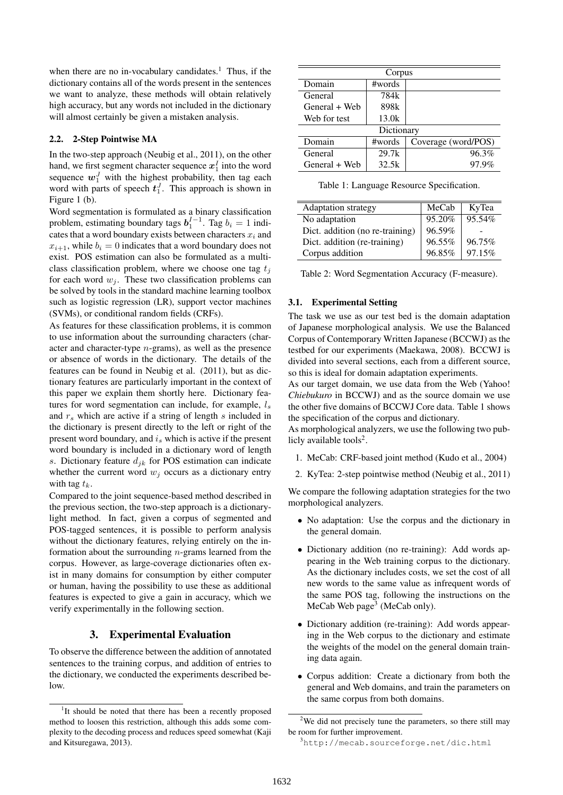when there are no in-vocabulary candidates.<sup>1</sup> Thus, if the dictionary contains all of the words present in the sentences we want to analyze, these methods will obtain relatively high accuracy, but any words not included in the dictionary will almost certainly be given a mistaken analysis.

#### 2.2. 2-Step Pointwise MA

In the two-step approach (Neubig et al., 2011), on the other hand, we first segment character sequence  $x_1^I$  into the word sequence  $w_1^J$  with the highest probability, then tag each word with parts of speech  $t_1^J$ . This approach is shown in Figure 1 (b).

Word segmentation is formulated as a binary classification problem, estimating boundary tags  $b_1^{I-1}$ . Tag  $b_i = 1$  indicates that a word boundary exists between characters  $x_i$  and  $x_{i+1}$ , while  $b_i = 0$  indicates that a word boundary does not exist. POS estimation can also be formulated as a multiclass classification problem, where we choose one tag *t<sup>j</sup>* for each word  $w_j$ . These two classification problems can be solved by tools in the standard machine learning toolbox such as logistic regression (LR), support vector machines (SVMs), or conditional random fields (CRFs).

As features for these classification problems, it is common to use information about the surrounding characters (character and character-type *n*-grams), as well as the presence or absence of words in the dictionary. The details of the features can be found in Neubig et al. (2011), but as dictionary features are particularly important in the context of this paper we explain them shortly here. Dictionary features for word segmentation can include, for example, *l<sup>s</sup>* and *r<sup>s</sup>* which are active if a string of length *s* included in the dictionary is present directly to the left or right of the present word boundary, and *i<sup>s</sup>* which is active if the present word boundary is included in a dictionary word of length *s*. Dictionary feature *djk* for POS estimation can indicate whether the current word  $w_j$  occurs as a dictionary entry with tag  $t_k$ .

Compared to the joint sequence-based method described in the previous section, the two-step approach is a dictionarylight method. In fact, given a corpus of segmented and POS-tagged sentences, it is possible to perform analysis without the dictionary features, relying entirely on the information about the surrounding *n*-grams learned from the corpus. However, as large-coverage dictionaries often exist in many domains for consumption by either computer or human, having the possibility to use these as additional features is expected to give a gain in accuracy, which we verify experimentally in the following section.

### 3. Experimental Evaluation

To observe the difference between the addition of annotated sentences to the training corpus, and addition of entries to the dictionary, we conducted the experiments described below.

| Corpus        |        |                     |  |  |  |  |
|---------------|--------|---------------------|--|--|--|--|
| Domain        | #words |                     |  |  |  |  |
| General       | 784k   |                     |  |  |  |  |
| General + Web | 898k   |                     |  |  |  |  |
| Web for test  | 13.0k  |                     |  |  |  |  |
| Dictionary    |        |                     |  |  |  |  |
| Domain        | #words | Coverage (word/POS) |  |  |  |  |
| General       | 29.7k  | 96.3%               |  |  |  |  |
| General + Web | 32.5k  | 97.9%               |  |  |  |  |

Table 1: Language Resource Specification.

| <b>Adaptation strategy</b>      | MeCab  | KyTea  |
|---------------------------------|--------|--------|
| No adaptation                   | 95.20% | 95.54% |
| Dict. addition (no re-training) | 96.59% |        |
| Dict. addition (re-training)    | 96.55% | 96.75% |
| Corpus addition                 | 96.85% | 97.15% |

Table 2: Word Segmentation Accuracy (F-measure).

#### 3.1. Experimental Setting

The task we use as our test bed is the domain adaptation of Japanese morphological analysis. We use the Balanced Corpus of Contemporary Written Japanese (BCCWJ) as the testbed for our experiments (Maekawa, 2008). BCCWJ is divided into several sections, each from a different source, so this is ideal for domain adaptation experiments.

As our target domain, we use data from the Web (Yahoo! *Chiebukuro* in BCCWJ) and as the source domain we use the other five domains of BCCWJ Core data. Table 1 shows the specification of the corpus and dictionary.

As morphological analyzers, we use the following two publicly available tools<sup>2</sup>.

- 1. MeCab: CRF-based joint method (Kudo et al., 2004)
- 2. KyTea: 2-step pointwise method (Neubig et al., 2011)

We compare the following adaptation strategies for the two morphological analyzers.

- No adaptation: Use the corpus and the dictionary in the general domain.
- Dictionary addition (no re-training): Add words appearing in the Web training corpus to the dictionary. As the dictionary includes costs, we set the cost of all new words to the same value as infrequent words of the same POS tag, following the instructions on the MeCab Web page<sup>3</sup> (MeCab only).
- *•* Dictionary addition (re-training): Add words appearing in the Web corpus to the dictionary and estimate the weights of the model on the general domain training data again.
- *•* Corpus addition: Create a dictionary from both the general and Web domains, and train the parameters on the same corpus from both domains.

<sup>&</sup>lt;sup>1</sup>It should be noted that there has been a recently proposed method to loosen this restriction, although this adds some complexity to the decoding process and reduces speed somewhat (Kaji and Kitsuregawa, 2013).

<sup>&</sup>lt;sup>2</sup>We did not precisely tune the parameters, so there still may be room for further improvement.

<sup>3</sup>http://mecab.sourceforge.net/dic.html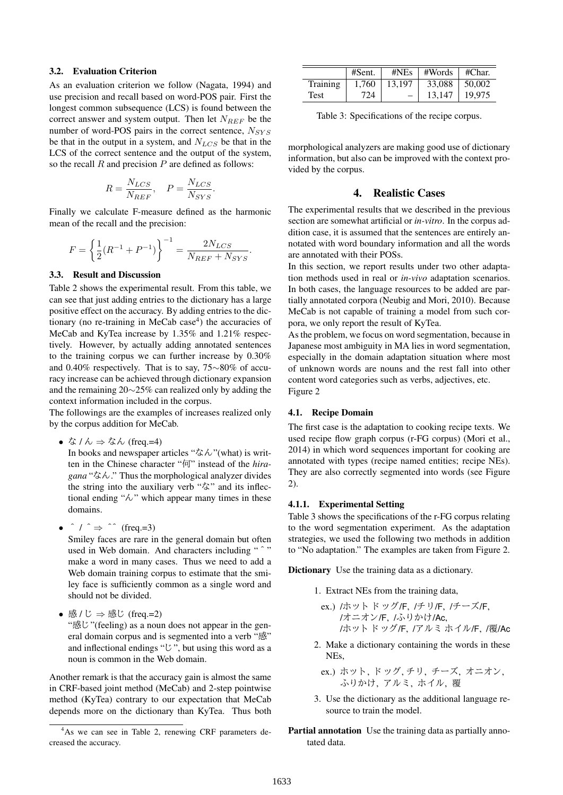#### 3.2. Evaluation Criterion

As an evaluation criterion we follow (Nagata, 1994) and use precision and recall based on word-POS pair. First the longest common subsequence (LCS) is found between the correct answer and system output. Then let  $N_{REF}$  be the number of word-POS pairs in the correct sentence, *NSY S* be that in the output in a system, and *NLCS* be that in the LCS of the correct sentence and the output of the system, so the recall *R* and precision *P* are defined as follows:

$$
R = \frac{N_{LCS}}{N_{REF}}, \quad P = \frac{N_{LCS}}{N_{SYS}}.
$$

Finally we calculate F-measure defined as the harmonic mean of the recall and the precision:

$$
F = \left\{ \frac{1}{2} (R^{-1} + P^{-1}) \right\}^{-1} = \frac{2N_{LCS}}{N_{REF} + N_{SYS}}.
$$

#### 3.3. Result and Discussion

Table 2 shows the experimental result. From this table, we can see that just adding entries to the dictionary has a large positive effect on the accuracy. By adding entries to the dictionary (no re-training in MeCab case<sup>4</sup>) the accuracies of MeCab and KyTea increase by 1.35% and 1.21% respectively. However, by actually adding annotated sentences to the training corpus we can further increase by 0.30% and 0.40% respectively. That is to say, 75*∼*80% of accuracy increase can be achieved through dictionary expansion and the remaining 20*∼*25% can realized only by adding the context information included in the corpus.

The followings are the examples of increases realized only by the corpus addition for MeCab.

*•* <sup>な</sup> / <sup>ん</sup> *⇒* なん (freq.=4)

In books and newspaper articles "なん"(what) is written in the Chinese character "何" instead of the *hiragana* "なん." Thus the morphological analyzer divides the string into the auxiliary verb "な" and its inflectional ending " $\lambda$ " which appear many times in these domains.

*•*  $\hat{ }$  /  $\hat{ }$  ⇒  $\hat{ }$  (freq.=3)

Smiley faces are rare in the general domain but often used in Web domain. And characters including "  $\hat{ }$ " make a word in many cases. Thus we need to add a Web domain training corpus to estimate that the smiley face is sufficiently common as a single word and should not be divided.

*•* <sup>感</sup> / <sup>じ</sup> *⇒* 感じ (freq.=2) "感じ"(feeling) as a noun does not appear in the general domain corpus and is segmented into a verb "感" and inflectional endings "じ", but using this word as a noun is common in the Web domain.

Another remark is that the accuracy gain is almost the same in CRF-based joint method (MeCab) and 2-step pointwise method (KyTea) contrary to our expectation that MeCab depends more on the dictionary than KyTea. Thus both

|             | #Sent. | #NEs                     | #Words            | #Char. |
|-------------|--------|--------------------------|-------------------|--------|
| Training    | 1.760  | 13.197                   | $33,088$   50,002 |        |
| <b>Test</b> | 724    | $\overline{\phantom{0}}$ | 13.147            | 19.975 |

Table 3: Specifications of the recipe corpus.

morphological analyzers are making good use of dictionary information, but also can be improved with the context provided by the corpus.

### 4. Realistic Cases

The experimental results that we described in the previous section are somewhat artificial or *in-vitro*. In the corpus addition case, it is assumed that the sentences are entirely annotated with word boundary information and all the words are annotated with their POSs.

In this section, we report results under two other adaptation methods used in real or *in-vivo* adaptation scenarios. In both cases, the language resources to be added are partially annotated corpora (Neubig and Mori, 2010). Because MeCab is not capable of training a model from such corpora, we only report the result of KyTea.

As the problem, we focus on word segmentation, because in Japanese most ambiguity in MA lies in word segmentation, especially in the domain adaptation situation where most of unknown words are nouns and the rest fall into other content word categories such as verbs, adjectives, etc. Figure 2

#### 4.1. Recipe Domain

The first case is the adaptation to cooking recipe texts. We used recipe flow graph corpus (r-FG corpus) (Mori et al., 2014) in which word sequences important for cooking are annotated with types (recipe named entities; recipe NEs). They are also correctly segmented into words (see Figure 2).

#### 4.1.1. Experimental Setting

Table 3 shows the specifications of the r-FG corpus relating to the word segmentation experiment. As the adaptation strategies, we used the following two methods in addition to "No adaptation." The examples are taken from Figure 2.

Dictionary Use the training data as a dictionary.

- 1. Extract NEs from the training data,
	- ex.) /ホット ドッグ/F, /チリ/F, /チーズ/F, /オニオン/F, /ふりかけ/Ac, /ホット ドッグ/F, /アルミ ホイル/F, /覆/Ac
- 2. Make a dictionary containing the words in these NEs,
	- ex.) ホット, ドッグ, チリ, チーズ, オニオン, ふりかけ, アルミ, ホイル, 覆
- 3. Use the dictionary as the additional language resource to train the model.
- Partial annotation Use the training data as partially annotated data.

<sup>4</sup>As we can see in Table 2, renewing CRF parameters decreased the accuracy.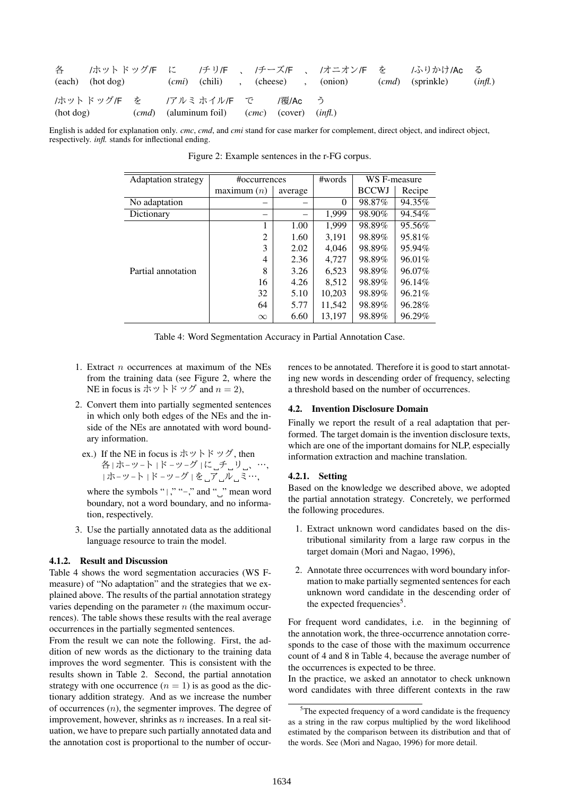| 各         | (each) (hot dog) |  |                                                                                 |  |         | $(cmi)$ (chili), (cheese), (onion) $(cmd)$ (sprinkle) | /ホットドッグ/F に / チリ/F 、 /チーズ/F 、 /オニオン/F を / ふりかけ/Ac る | (inf). |
|-----------|------------------|--|---------------------------------------------------------------------------------|--|---------|-------------------------------------------------------|-----------------------------------------------------|--------|
| (hot dog) |                  |  | /ホットドッグ/F を   /アルミ ホイル/F で<br>$(cmd)$ (aluminum foil) $(cmc)$ (cover) $(infl.)$ |  | /覆/Ac う |                                                       |                                                     |        |

English is added for explanation only. *cmc*, *cmd*, and *cmi* stand for case marker for complement, direct object, and indirect object, respectively. *infl.* stands for inflectional ending.

| <b>Adaptation strategy</b> | #occurrences | #words  | WS F-measure |              |        |
|----------------------------|--------------|---------|--------------|--------------|--------|
|                            | maximum(n)   | average |              | <b>BCCWJ</b> | Recipe |
| No adaptation              |              |         | $\theta$     | 98.87%       | 94.35% |
| Dictionary                 |              |         | 1.999        | 98.90%       | 94.54% |
|                            | 1            | 1.00    | 1,999        | 98.89%       | 95.56% |
| Partial annotation         | 2            | 1.60    | 3.191        | 98.89%       | 95.81% |
|                            | 3            | 2.02    | 4.046        | 98.89%       | 95.94% |
|                            | 4            | 2.36    | 4,727        | 98.89%       | 96.01% |
|                            | 8            | 3.26    | 6,523        | 98.89%       | 96.07% |
|                            | 16           | 4.26    | 8.512        | 98.89%       | 96.14% |
|                            | 32           | 5.10    | 10,203       | 98.89%       | 96.21% |
|                            | 64           | 5.77    | 11,542       | 98.89%       | 96.28% |
|                            | $\infty$     | 6.60    | 13.197       | 98.89%       | 96.29% |

Figure 2: Example sentences in the r-FG corpus.

Table 4: Word Segmentation Accuracy in Partial Annotation Case.

- 1. Extract *n* occurrences at maximum of the NEs from the training data (see Figure 2, where the NE in focus is ホットドッグ and  $n = 2$ ),
- 2. Convert them into partially segmented sentences in which only both edges of the NEs and the inside of the NEs are annotated with word boundary information.
	- ex.) If the NE in focus is ホットドッグ, then 各|ホ-ッ-ト|ド-ッ-グ|に 」チ 」リ \_、…, |ホ-ッ-ト|ド-ッ-グ|を ア ル ミ…,

where the symbols " $|,$ ", " $-$ ," and " $|$ " mean word boundary, not a word boundary, and no information, respectively.

3. Use the partially annotated data as the additional language resource to train the model.

#### 4.1.2. Result and Discussion

Table 4 shows the word segmentation accuracies (WS Fmeasure) of "No adaptation" and the strategies that we explained above. The results of the partial annotation strategy varies depending on the parameter *n* (the maximum occurrences). The table shows these results with the real average occurrences in the partially segmented sentences.

From the result we can note the following. First, the addition of new words as the dictionary to the training data improves the word segmenter. This is consistent with the results shown in Table 2. Second, the partial annotation strategy with one occurrence  $(n = 1)$  is as good as the dictionary addition strategy. And as we increase the number of occurrences (*n*), the segmenter improves. The degree of improvement, however, shrinks as *n* increases. In a real situation, we have to prepare such partially annotated data and the annotation cost is proportional to the number of occurrences to be annotated. Therefore it is good to start annotating new words in descending order of frequency, selecting a threshold based on the number of occurrences.

### 4.2. Invention Disclosure Domain

Finally we report the result of a real adaptation that performed. The target domain is the invention disclosure texts, which are one of the important domains for NLP, especially information extraction and machine translation.

#### 4.2.1. Setting

Based on the knowledge we described above, we adopted the partial annotation strategy. Concretely, we performed the following procedures.

- 1. Extract unknown word candidates based on the distributional similarity from a large raw corpus in the target domain (Mori and Nagao, 1996),
- 2. Annotate three occurrences with word boundary information to make partially segmented sentences for each unknown word candidate in the descending order of the expected frequencies<sup>5</sup>.

For frequent word candidates, i.e. in the beginning of the annotation work, the three-occurrence annotation corresponds to the case of those with the maximum occurrence count of 4 and 8 in Table 4, because the average number of the occurrences is expected to be three.

In the practice, we asked an annotator to check unknown word candidates with three different contexts in the raw

<sup>&</sup>lt;sup>5</sup>The expected frequency of a word candidate is the frequency as a string in the raw corpus multiplied by the word likelihood estimated by the comparison between its distribution and that of the words. See (Mori and Nagao, 1996) for more detail.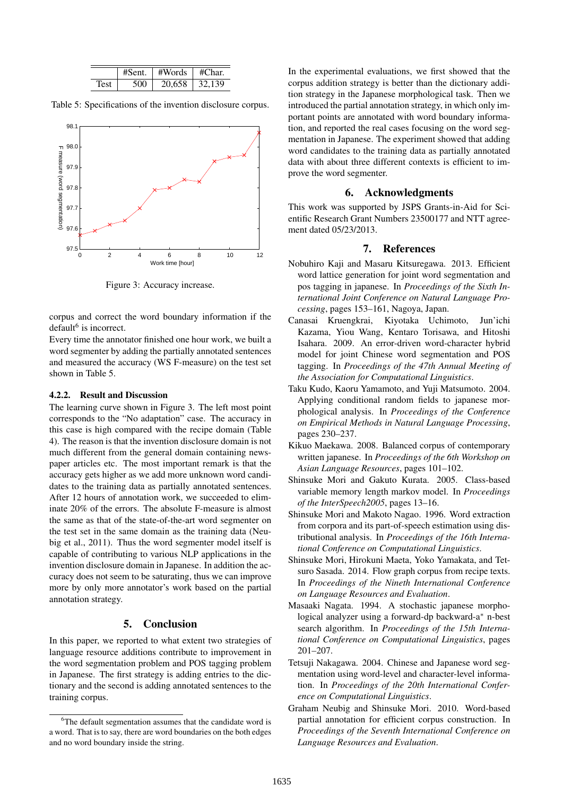|      | #Sent- | #Words | #Char. |
|------|--------|--------|--------|
| resi | ร∩∩    | 20.658 | 32.139 |

Table 5: Specifications of the invention disclosure corpus.



Figure 3: Accuracy increase.

corpus and correct the word boundary information if the default<sup>6</sup> is incorrect.

Every time the annotator finished one hour work, we built a word segmenter by adding the partially annotated sentences and measured the accuracy (WS F-measure) on the test set shown in Table 5.

#### 4.2.2. Result and Discussion

The learning curve shown in Figure 3. The left most point corresponds to the "No adaptation" case. The accuracy in this case is high compared with the recipe domain (Table 4). The reason is that the invention disclosure domain is not much different from the general domain containing newspaper articles etc. The most important remark is that the accuracy gets higher as we add more unknown word candidates to the training data as partially annotated sentences. After 12 hours of annotation work, we succeeded to eliminate 20% of the errors. The absolute F-measure is almost the same as that of the state-of-the-art word segmenter on the test set in the same domain as the training data (Neubig et al., 2011). Thus the word segmenter model itself is capable of contributing to various NLP applications in the invention disclosure domain in Japanese. In addition the accuracy does not seem to be saturating, thus we can improve more by only more annotator's work based on the partial annotation strategy.

## 5. Conclusion

In this paper, we reported to what extent two strategies of language resource additions contribute to improvement in the word segmentation problem and POS tagging problem in Japanese. The first strategy is adding entries to the dictionary and the second is adding annotated sentences to the training corpus.

In the experimental evaluations, we first showed that the corpus addition strategy is better than the dictionary addition strategy in the Japanese morphological task. Then we introduced the partial annotation strategy, in which only important points are annotated with word boundary information, and reported the real cases focusing on the word segmentation in Japanese. The experiment showed that adding word candidates to the training data as partially annotated data with about three different contexts is efficient to improve the word segmenter.

### 6. Acknowledgments

This work was supported by JSPS Grants-in-Aid for Scientific Research Grant Numbers 23500177 and NTT agreement dated 05/23/2013.

### 7. References

- Nobuhiro Kaji and Masaru Kitsuregawa. 2013. Efficient word lattice generation for joint word segmentation and pos tagging in japanese. In *Proceedings of the Sixth International Joint Conference on Natural Language Processing*, pages 153–161, Nagoya, Japan.
- Canasai Kruengkrai, Kiyotaka Uchimoto, Jun'ichi Kazama, Yiou Wang, Kentaro Torisawa, and Hitoshi Isahara. 2009. An error-driven word-character hybrid model for joint Chinese word segmentation and POS tagging. In *Proceedings of the 47th Annual Meeting of the Association for Computational Linguistics*.
- Taku Kudo, Kaoru Yamamoto, and Yuji Matsumoto. 2004. Applying conditional random fields to japanese morphological analysis. In *Proceedings of the Conference on Empirical Methods in Natural Language Processing*, pages 230–237.
- Kikuo Maekawa. 2008. Balanced corpus of contemporary written japanese. In *Proceedings of the 6th Workshop on Asian Language Resources*, pages 101–102.
- Shinsuke Mori and Gakuto Kurata. 2005. Class-based variable memory length markov model. In *Proceedings of the InterSpeech2005*, pages 13–16.
- Shinsuke Mori and Makoto Nagao. 1996. Word extraction from corpora and its part-of-speech estimation using distributional analysis. In *Proceedings of the 16th International Conference on Computational Linguistics*.
- Shinsuke Mori, Hirokuni Maeta, Yoko Yamakata, and Tetsuro Sasada. 2014. Flow graph corpus from recipe texts. In *Proceedings of the Nineth International Conference on Language Resources and Evaluation*.
- Masaaki Nagata. 1994. A stochastic japanese morphological analyzer using a forward-dp backward-a*<sup>∗</sup>* n-best search algorithm. In *Proceedings of the 15th International Conference on Computational Linguistics*, pages 201–207.
- Tetsuji Nakagawa. 2004. Chinese and Japanese word segmentation using word-level and character-level information. In *Proceedings of the 20th International Conference on Computational Linguistics*.
- Graham Neubig and Shinsuke Mori. 2010. Word-based partial annotation for efficient corpus construction. In *Proceedings of the Seventh International Conference on Language Resources and Evaluation*.

<sup>&</sup>lt;sup>6</sup>The default segmentation assumes that the candidate word is a word. That is to say, there are word boundaries on the both edges and no word boundary inside the string.